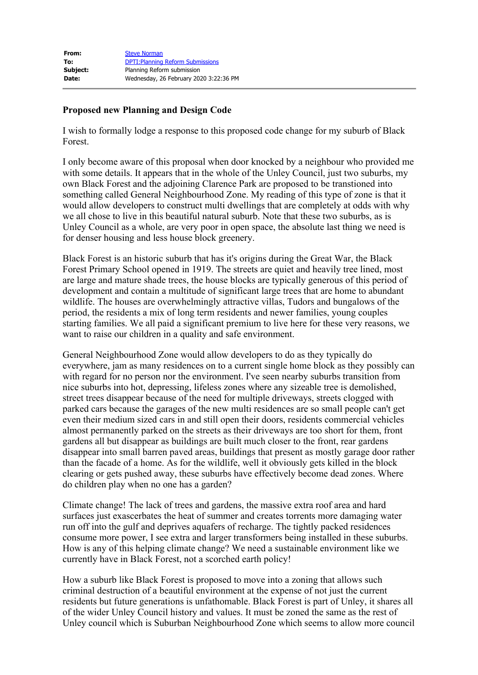| <b>Steve Norman</b>                      |
|------------------------------------------|
| <b>DPTI: Planning Reform Submissions</b> |
| Planning Reform submission               |
| Wednesday, 26 February 2020 3:22:36 PM   |
|                                          |

## **Proposed new Planning and Design Code**

I wish to formally lodge a response to this proposed code change for my suburb of Black Forest.

I only become aware of this proposal when door knocked by a neighbour who provided me with some details. It appears that in the whole of the Unley Council, just two suburbs, my own Black Forest and the adjoining Clarence Park are proposed to be transtioned into something called General Neighbourhood Zone. My reading of this type of zone is that it would allow developers to construct multi dwellings that are completely at odds with why we all chose to live in this beautiful natural suburb. Note that these two suburbs, as is Unley Council as a whole, are very poor in open space, the absolute last thing we need is for denser housing and less house block greenery.

Black Forest is an historic suburb that has it's origins during the Great War, the Black Forest Primary School opened in 1919. The streets are quiet and heavily tree lined, most are large and mature shade trees, the house blocks are typically generous of this period of development and contain a multitude of significant large trees that are home to abundant wildlife. The houses are overwhelmingly attractive villas, Tudors and bungalows of the period, the residents a mix of long term residents and newer families, young couples starting families. We all paid a significant premium to live here for these very reasons, we want to raise our children in a quality and safe environment.

General Neighbourhood Zone would allow developers to do as they typically do everywhere, jam as many residences on to a current single home block as they possibly can with regard for no person nor the environment. I've seen nearby suburbs transition from nice suburbs into hot, depressing, lifeless zones where any sizeable tree is demolished, street trees disappear because of the need for multiple driveways, streets clogged with parked cars because the garages of the new multi residences are so small people can't get even their medium sized cars in and still open their doors, residents commercial vehicles almost permanently parked on the streets as their driveways are too short for them, front gardens all but disappear as buildings are built much closer to the front, rear gardens disappear into small barren paved areas, buildings that present as mostly garage door rather than the facade of a home. As for the wildlife, well it obviously gets killed in the block clearing or gets pushed away, these suburbs have effectively become dead zones. Where do children play when no one has a garden?

Climate change! The lack of trees and gardens, the massive extra roof area and hard surfaces just exascerbates the heat of summer and creates torrents more damaging water run off into the gulf and deprives aquafers of recharge. The tightly packed residences consume more power, I see extra and larger transformers being installed in these suburbs. How is any of this helping climate change? We need a sustainable environment like we currently have in Black Forest, not a scorched earth policy!

How a suburb like Black Forest is proposed to move into a zoning that allows such criminal destruction of a beautiful environment at the expense of not just the current residents but future generations is unfathomable. Black Forest is part of Unley, it shares all of the wider Unley Council history and values. It must be zoned the same as the rest of Unley council which is Suburban Neighbourhood Zone which seems to allow more council